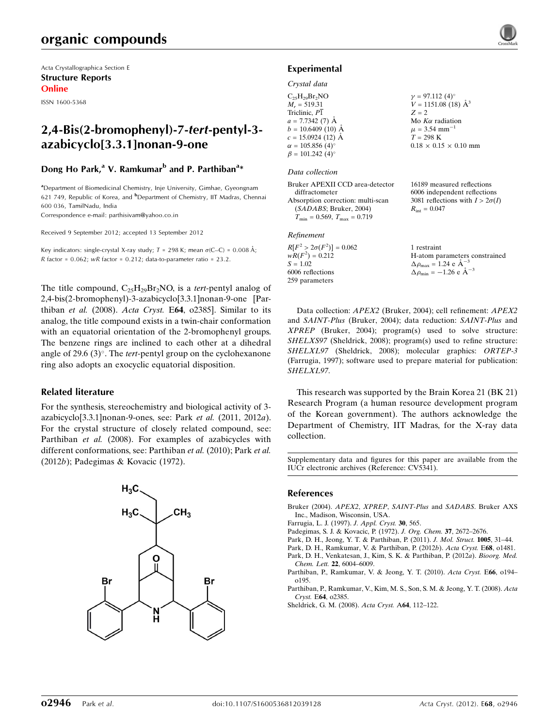Acta Crystallographica Section E Structure Reports Online

ISSN 1600-5368

# 2,4-Bis(2-bromophenyl)-7-tert-pentyl-3 azabicyclo[3.3.1]nonan-9-one

## Dong Ho Park,<sup>a</sup> V. Ramkumar<sup>b</sup> and P. Parthiban<sup>a</sup>\*

<sup>a</sup> Department of Biomedicinal Chemistry, Inje University, Gimhae, Gyeongnam 621 749, Republic of Korea, and <sup>b</sup>Department of Chemistry, IIT Madras, Chennai 600 036, TamilNadu, India

Correspondence e-mail: [parthisivam@yahoo.co.in](http://scripts.iucr.org/cgi-bin/cr.cgi?rm=pdfbb&cnor=cv5341&bbid=BB9)

Received 9 September 2012; accepted 13 September 2012

Key indicators: single-crystal X-ray study;  $T = 298$  K; mean  $\sigma$ (C–C) = 0.008 Å;  $R$  factor = 0.062; w $R$  factor = 0.212; data-to-parameter ratio = 23.2.

The title compound,  $C_{25}H_{29}Br_2NO$ , is a *tert*-pentyl analog of 2,4-bis(2-bromophenyl)-3-azabicyclo[3.3.1]nonan-9-one [Parthiban et al. (2008). Acta Cryst. E64, o2385]. Similar to its analog, the title compound exists in a twin-chair conformation with an equatorial orientation of the 2-bromophenyl groups. The benzene rings are inclined to each other at a dihedral angle of 29.6  $(3)^\circ$ . The tert-pentyl group on the cyclohexanone ring also adopts an exocyclic equatorial disposition.

## Related literature

For the synthesis, stereochemistry and biological activity of 3 azabicyclo[3.3.1]nonan-9-ones, see: Park et al. (2011, 2012a). For the crystal structure of closely related compound, see: Parthiban et al. (2008). For examples of azabicycles with different conformations, see: Parthiban et al. (2010); Park et al. (2012b); Padegimas & Kovacic (1972).



## Experimental

#### Crystal data

| $C_{25}H_{29}Br_2NO$               | $\gamma = 97.112(4)$ °            |
|------------------------------------|-----------------------------------|
| $M_r = 519.31$                     | $V = 1151.08$ (18) $\AA^3$        |
| Triclinic, P1                      | $Z = 2$                           |
| $a = 7.7342(7)$ Å                  | Mo $K\alpha$ radiation            |
| $b = 10.6409(10)$ Å                | $\mu = 3.54$ mm <sup>-1</sup>     |
| $c = 15.0924(12)$ Å                | $T = 298 \text{ K}$               |
| $\alpha = 105.856(4)$ °            | $0.18 \times 0.15 \times 0.10$ mm |
| $\beta = 101.242$ (4) <sup>o</sup> |                                   |
|                                    |                                   |

#### Data collection

| Bruker APEXII CCD area-detector      |  |
|--------------------------------------|--|
| diffractometer                       |  |
| Absorption correction: multi-scan    |  |
| (SADABS; Bruker, 2004)               |  |
| $T_{\min} = 0.569, T_{\max} = 0.719$ |  |
|                                      |  |

## Refinement

 $R[F^2 > 2\sigma(F^2)] = 0.062$ <br>  $wR(F^2) = 0.212$  $S = 1.02$ 6006 reflections 259 parameters

16189 measured reflections 6006 independent reflections 3081 reflections with  $I > 2\sigma(I)$  $R_{\text{int}} = 0.047$ 

1 restraint H-atom parameters constrained  $\Delta \rho_{\text{max}} = 1.24 \text{ e A}^{-3}$  $\Delta \rho_{\text{min}} = -1.26 \text{ e } \text{\AA}^{-3}$ 

Data collection: APEX2 (Bruker, 2004); cell refinement: APEX2 and SAINT-Plus (Bruker, 2004); data reduction: SAINT-Plus and XPREP (Bruker, 2004); program(s) used to solve structure: SHELXS97 (Sheldrick, 2008); program(s) used to refine structure: SHELXL97 (Sheldrick, 2008); molecular graphics: ORTEP-3 (Farrugia, 1997); software used to prepare material for publication: SHELXL97.

This research was supported by the Brain Korea 21 (BK 21) Research Program (a human resource development program of the Korean government). The authors acknowledge the Department of Chemistry, IIT Madras, for the X-ray data collection.

Supplementary data and figures for this paper are available from the IUCr electronic archives (Reference: CV5341).

#### References

- [Bruker \(2004\).](http://scripts.iucr.org/cgi-bin/cr.cgi?rm=pdfbb&cnor=cv5341&bbid=BB1) APEX2, XPREP, SAINT-Plus and SADABS. Bruker AXS [Inc., Madison, Wisconsin, USA.](http://scripts.iucr.org/cgi-bin/cr.cgi?rm=pdfbb&cnor=cv5341&bbid=BB1)
- [Farrugia, L. J. \(1997\).](http://scripts.iucr.org/cgi-bin/cr.cgi?rm=pdfbb&cnor=cv5341&bbid=BB2) J. Appl. Cryst. 30, 565.
- [Padegimas, S. J. & Kovacic, P. \(1972\).](http://scripts.iucr.org/cgi-bin/cr.cgi?rm=pdfbb&cnor=cv5341&bbid=BB3) J. Org. Chem. 37, 2672–2676.
- [Park, D. H., Jeong, Y. T. & Parthiban, P. \(2011\).](http://scripts.iucr.org/cgi-bin/cr.cgi?rm=pdfbb&cnor=cv5341&bbid=BB4) J. Mol. Struct. 1005, 31–44.
- [Park, D. H., Ramkumar, V. & Parthiban, P. \(2012](http://scripts.iucr.org/cgi-bin/cr.cgi?rm=pdfbb&cnor=cv5341&bbid=BB5)b). Acta Cryst. E68, o1481.
- [Park, D. H., Venkatesan, J., Kim, S. K. & Parthiban, P. \(2012](http://scripts.iucr.org/cgi-bin/cr.cgi?rm=pdfbb&cnor=cv5341&bbid=BB6)a). Bioorg. Med. Chem. Lett. 22[, 6004–6009.](http://scripts.iucr.org/cgi-bin/cr.cgi?rm=pdfbb&cnor=cv5341&bbid=BB6)
- [Parthiban, P., Ramkumar, V. & Jeong, Y. T. \(2010\).](http://scripts.iucr.org/cgi-bin/cr.cgi?rm=pdfbb&cnor=cv5341&bbid=BB7) Acta Cryst. E66, o194– [o195.](http://scripts.iucr.org/cgi-bin/cr.cgi?rm=pdfbb&cnor=cv5341&bbid=BB7)
- [Parthiban, P., Ramkumar, V., Kim, M. S., Son, S. M. & Jeong, Y. T. \(2008\).](http://scripts.iucr.org/cgi-bin/cr.cgi?rm=pdfbb&cnor=cv5341&bbid=BB8) Acta Cryst. E64[, o2385.](http://scripts.iucr.org/cgi-bin/cr.cgi?rm=pdfbb&cnor=cv5341&bbid=BB8)
- [Sheldrick, G. M. \(2008\).](http://scripts.iucr.org/cgi-bin/cr.cgi?rm=pdfbb&cnor=cv5341&bbid=BB9) Acta Cryst. A64, 112–122.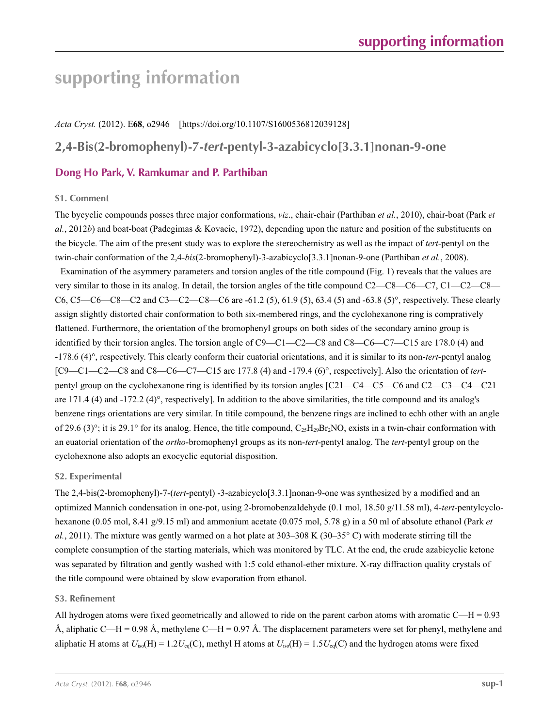*Acta Cryst.* (2012). E**68**, o2946 [https://doi.org/10.1107/S1600536812039128]

# **2,4-Bis(2-bromophenyl)-7-***tert***-pentyl-3-azabicyclo[3.3.1]nonan-9-one**

# **Dong Ho Park, V. Ramkumar and P. Parthiban**

## **S1. Comment**

The bycyclic compounds posses three major conformations, *viz*., chair-chair (Parthiban *et al.*, 2010), chair-boat (Park *et al.*, 2012*b*) and boat-boat (Padegimas & Kovacic, 1972), depending upon the nature and position of the substituents on the bicycle. The aim of the present study was to explore the stereochemistry as well as the impact of *tert*-pentyl on the twin-chair conformation of the 2,4-*bis*(2-bromophenyl)-3-azabicyclo[3.3.1]nonan-9-one (Parthiban *et al.*, 2008).

Examination of the asymmery parameters and torsion angles of the title compound (Fig. 1) reveals that the values are very similar to those in its analog. In detail, the torsion angles of the title compound C2—C8—C6—C7, C1—C2—C8— C6, C5—C6—C8—C2 and C3—C2—C8—C6 are -61.2 (5), 61.9 (5), 63.4 (5) and -63.8 (5)°, respectively. These clearly assign slightly distorted chair conformation to both six-membered rings, and the cyclohexanone ring is compratively flattened. Furthermore, the orientation of the bromophenyl groups on both sides of the secondary amino group is identified by their torsion angles. The torsion angle of C9—C1—C2—C8 and C8—C6—C7—C15 are 178.0 (4) and -178.6 (4)°, respectively. This clearly conform their euatorial orientations, and it is similar to its non-*tert*-pentyl analog [C9—C1—C2—C8 and C8—C6—C7—C15 are 177.8 (4) and -179.4 (6)°, respectively]. Also the orientation of *tert*pentyl group on the cyclohexanone ring is identified by its torsion angles [C21—C4—C5—C6 and C2—C3—C4—C21 are 171.4 (4) and -172.2 (4)°, respectively]. In addition to the above similarities, the title compound and its analog's benzene rings orientations are very similar. In titile compound, the benzene rings are inclined to echh other with an angle of 29.6 (3)°; it is 29.1° for its analog. Hence, the title compound,  $C_{25}H_{29}Br_{2}NO$ , exists in a twin-chair conformation with an euatorial orientation of the *ortho*-bromophenyl groups as its non-*tert*-pentyl analog. The *tert*-pentyl group on the cyclohexnone also adopts an exocyclic equtorial disposition.

## **S2. Experimental**

The 2,4-bis(2-bromophenyl)-7-(*tert*-pentyl) -3-azabicyclo[3.3.1]nonan-9-one was synthesized by a modified and an optimized Mannich condensation in one-pot, using 2-bromobenzaldehyde (0.1 mol, 18.50 g/11.58 ml), 4-*tert*-pentylcyclohexanone (0.05 mol, 8.41 g/9.15 ml) and ammonium acetate (0.075 mol, 5.78 g) in a 50 ml of absolute ethanol (Park *et al.*, 2011). The mixture was gently warmed on a hot plate at 303–308 K (30–35° C) with moderate stirring till the complete consumption of the starting materials, which was monitored by TLC. At the end, the crude azabicyclic ketone was separated by filtration and gently washed with 1:5 cold ethanol-ether mixture. X-ray diffraction quality crystals of the title compound were obtained by slow evaporation from ethanol.

## **S3. Refinement**

All hydrogen atoms were fixed geometrically and allowed to ride on the parent carbon atoms with aromatic  $C-H = 0.93$ Å, aliphatic C—H = 0.98 Å, methylene C—H = 0.97 Å. The displacement parameters were set for phenyl, methylene and aliphatic H atoms at  $U_{iso}(H) = 1.2U_{eq}(C)$ , methyl H atoms at  $U_{iso}(H) = 1.5U_{eq}(C)$  and the hydrogen atoms were fixed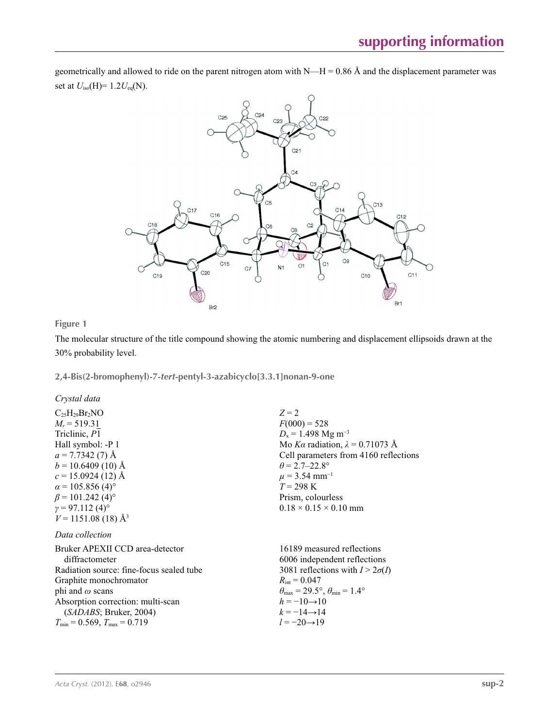geometrically and allowed to ride on the parent nitrogen atom with  $N-H = 0.86$  Å and the displacement parameter was set at *U*iso(H)= 1.2*U*eq(N).



**Figure 1**

The molecular structure of the title compound showing the atomic numbering and displacement ellipsoids drawn at the 30% probability level.

**2,4-Bis(2-bromophenyl)-7-***tert***-pentyl-3-azabicyclo[3.3.1]nonan-9-one** 

*Crystal data*

 $C_{25}H_{29}Br_2NO$  $M_r = 519.31$ Triclinic, *P*1 Hall symbol: -P 1  $a = 7.7342(7)$  Å  $b = 10.6409(10)$  Å  $c = 15.0924(12)$  Å  $\alpha$  = 105.856 (4)<sup>o</sup>  $\beta$  = 101.242 (4)<sup>o</sup>  $\gamma = 97.112(4)$ °  $V = 1151.08$  (18) Å<sup>3</sup> *Z* = 2  $F(000) = 528$  $D_x = 1.498$  Mg m<sup>-3</sup> Mo *Kα* radiation,  $\lambda = 0.71073$  Å Cell parameters from 4160 reflections  $\theta$  = 2.7–22.8°  $\mu$  = 3.54 mm<sup>-1</sup> *T* = 298 K Prism, colourless  $0.18 \times 0.15 \times 0.10$  mm *Data collection* Bruker APEXII CCD area-detector diffractometer Radiation source: fine-focus sealed tube Graphite monochromator phi and *ω* scans Absorption correction: multi-scan (*SADABS*; Bruker, 2004)  $T_{\text{min}} = 0.569, T_{\text{max}} = 0.719$ 16189 measured reflections 6006 independent reflections 3081 reflections with  $I > 2\sigma(I)$  $R_{\text{int}} = 0.047$  $\theta_{\text{max}} = 29.5^{\circ}, \theta_{\text{min}} = 1.4^{\circ}$  $h = -10 \rightarrow 10$  $k = -14 \rightarrow 14$ *l* = −20→19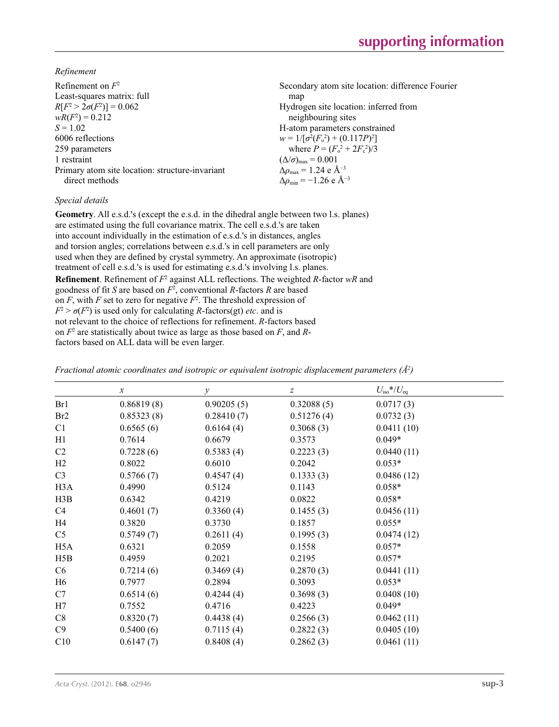*Refinement*

| Refinement on $F^2$                             | Secondary atom site location: difference Fourier |
|-------------------------------------------------|--------------------------------------------------|
| Least-squares matrix: full                      | map                                              |
| $R[F^2 > 2\sigma(F^2)] = 0.062$                 | Hydrogen site location: inferred from            |
| $wR(F^2) = 0.212$                               | neighbouring sites                               |
| $S = 1.02$                                      | H-atom parameters constrained                    |
| 6006 reflections                                | $w = 1/[\sigma^2(F_0^2) + (0.117P)^2]$           |
| 259 parameters                                  | where $P = (F_o^2 + 2F_c^2)/3$                   |
| 1 restraint                                     | $(\Delta/\sigma)_{\text{max}} = 0.001$           |
| Primary atom site location: structure-invariant | $\Delta \rho_{\rm max} = 1.24$ e Å <sup>-3</sup> |
| direct methods                                  | $\Delta\rho_{\rm min} = -1.26$ e Å <sup>-3</sup> |

## *Special details*

**Geometry**. All e.s.d.'s (except the e.s.d. in the dihedral angle between two l.s. planes) are estimated using the full covariance matrix. The cell e.s.d.'s are taken into account individually in the estimation of e.s.d.'s in distances, angles and torsion angles; correlations between e.s.d.'s in cell parameters are only used when they are defined by crystal symmetry. An approximate (isotropic) treatment of cell e.s.d.'s is used for estimating e.s.d.'s involving l.s. planes. **Refinement**. Refinement of  $F^2$  against ALL reflections. The weighted *R*-factor wR and goodness of fit *S* are based on *F*<sup>2</sup> , conventional *R*-factors *R* are based on  $F$ , with  $F$  set to zero for negative  $F^2$ . The threshold expression of  $F^2 > \sigma(F^2)$  is used only for calculating *R*-factors(gt) *etc*. and is not relevant to the choice of reflections for refinement. *R*-factors based on *F*<sup>2</sup> are statistically about twice as large as those based on *F*, and *R*factors based on ALL data will be even larger.

|                  | $\boldsymbol{\chi}$ | $\mathcal{V}$ | z          | $U_{\rm iso}*/U_{\rm eq}$ |
|------------------|---------------------|---------------|------------|---------------------------|
| Br1              | 0.86819(8)          | 0.90205(5)    | 0.32088(5) | 0.0717(3)                 |
| Br <sub>2</sub>  | 0.85323(8)          | 0.28410(7)    | 0.51276(4) | 0.0732(3)                 |
| C <sub>1</sub>   | 0.6565(6)           | 0.6164(4)     | 0.3068(3)  | 0.0411(10)                |
| H1               | 0.7614              | 0.6679        | 0.3573     | $0.049*$                  |
| C <sub>2</sub>   | 0.7228(6)           | 0.5383(4)     | 0.2223(3)  | 0.0440(11)                |
| H2               | 0.8022              | 0.6010        | 0.2042     | $0.053*$                  |
| C <sub>3</sub>   | 0.5766(7)           | 0.4547(4)     | 0.1333(3)  | 0.0486(12)                |
| H <sub>3</sub> A | 0.4990              | 0.5124        | 0.1143     | $0.058*$                  |
| H3B              | 0.6342              | 0.4219        | 0.0822     | $0.058*$                  |
| C4               | 0.4601(7)           | 0.3360(4)     | 0.1455(3)  | 0.0456(11)                |
| H4               | 0.3820              | 0.3730        | 0.1857     | $0.055*$                  |
| C <sub>5</sub>   | 0.5749(7)           | 0.2611(4)     | 0.1995(3)  | 0.0474(12)                |
| H <sub>5</sub> A | 0.6321              | 0.2059        | 0.1558     | $0.057*$                  |
| H5B              | 0.4959              | 0.2021        | 0.2195     | $0.057*$                  |
| C6               | 0.7214(6)           | 0.3469(4)     | 0.2870(3)  | 0.0441(11)                |
| H <sub>6</sub>   | 0.7977              | 0.2894        | 0.3093     | $0.053*$                  |
| C7               | 0.6514(6)           | 0.4244(4)     | 0.3698(3)  | 0.0408(10)                |
| H7               | 0.7552              | 0.4716        | 0.4223     | $0.049*$                  |
| C8               | 0.8320(7)           | 0.4438(4)     | 0.2566(3)  | 0.0462(11)                |
| C9               | 0.5400(6)           | 0.7115(4)     | 0.2822(3)  | 0.0405(10)                |
| C10              | 0.6147(7)           | 0.8408(4)     | 0.2862(3)  | 0.0461(11)                |

*Fractional atomic coordinates and isotropic or equivalent isotropic displacement parameters (Å2 )*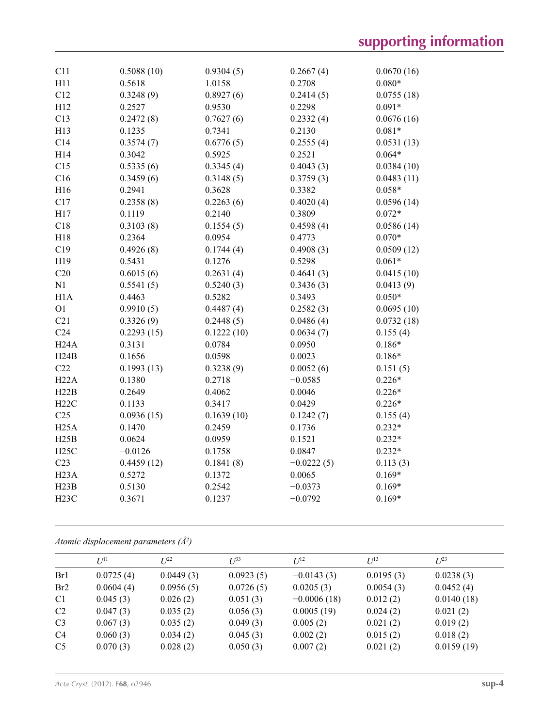| C11               | 0.5088(10) | 0.9304(5)  | 0.2667(4)    | 0.0670(16) |
|-------------------|------------|------------|--------------|------------|
| H11               | 0.5618     | 1.0158     | 0.2708       | $0.080*$   |
| C12               | 0.3248(9)  | 0.8927(6)  | 0.2414(5)    | 0.0755(18) |
| H12               | 0.2527     | 0.9530     | 0.2298       | $0.091*$   |
| C13               | 0.2472(8)  | 0.7627(6)  | 0.2332(4)    | 0.0676(16) |
| H13               | 0.1235     | 0.7341     | 0.2130       | $0.081*$   |
| C14               | 0.3574(7)  | 0.6776(5)  | 0.2555(4)    | 0.0531(13) |
| H14               | 0.3042     | 0.5925     | 0.2521       | $0.064*$   |
| C15               | 0.5335(6)  | 0.3345(4)  | 0.4043(3)    | 0.0384(10) |
| C16               | 0.3459(6)  | 0.3148(5)  | 0.3759(3)    | 0.0483(11) |
| H16               | 0.2941     | 0.3628     | 0.3382       | $0.058*$   |
| C17               | 0.2358(8)  | 0.2263(6)  | 0.4020(4)    | 0.0596(14) |
| H17               | 0.1119     | 0.2140     | 0.3809       | $0.072*$   |
| C18               | 0.3103(8)  | 0.1554(5)  | 0.4598(4)    | 0.0586(14) |
| H18               | 0.2364     | 0.0954     | 0.4773       | $0.070*$   |
| C19               | 0.4926(8)  | 0.1744(4)  | 0.4908(3)    | 0.0509(12) |
| H19               | 0.5431     | 0.1276     | 0.5298       | $0.061*$   |
| C20               | 0.6015(6)  | 0.2631(4)  | 0.4641(3)    | 0.0415(10) |
| N1                | 0.5541(5)  | 0.5240(3)  | 0.3436(3)    | 0.0413(9)  |
| H1A               | 0.4463     | 0.5282     | 0.3493       | $0.050*$   |
| O <sub>1</sub>    | 0.9910(5)  | 0.4487(4)  | 0.2582(3)    | 0.0695(10) |
| C21               | 0.3326(9)  | 0.2448(5)  | 0.0486(4)    | 0.0732(18) |
| C <sub>24</sub>   | 0.2293(15) | 0.1222(10) | 0.0634(7)    | 0.155(4)   |
| H24A              | 0.3131     | 0.0784     | 0.0950       | $0.186*$   |
| H24B              | 0.1656     | 0.0598     | 0.0023       | $0.186*$   |
| C22               | 0.1993(13) | 0.3238(9)  | 0.0052(6)    | 0.151(5)   |
| H22A              | 0.1380     | 0.2718     | $-0.0585$    | $0.226*$   |
| H22B              | 0.2649     | 0.4062     | 0.0046       | $0.226*$   |
| H22C              | 0.1133     | 0.3417     | 0.0429       | $0.226*$   |
| C <sub>25</sub>   | 0.0936(15) | 0.1639(10) | 0.1242(7)    | 0.155(4)   |
| H25A              | 0.1470     | 0.2459     | 0.1736       | $0.232*$   |
| H25B              | 0.0624     | 0.0959     | 0.1521       | $0.232*$   |
| H25C              | $-0.0126$  | 0.1758     | 0.0847       | $0.232*$   |
| C <sub>23</sub>   | 0.4459(12) | 0.1841(8)  | $-0.0222(5)$ | 0.113(3)   |
| H <sub>23</sub> A | 0.5272     | 0.1372     | 0.0065       | $0.169*$   |
| H23B              | 0.5130     | 0.2542     | $-0.0373$    | $0.169*$   |
| H <sub>23</sub> C | 0.3671     | 0.1237     | $-0.0792$    | $0.169*$   |
|                   |            |            |              |            |

*Atomic displacement parameters (Å2 )*

|                 | $U^{11}$  | $L^{22}$  | $I^{\beta 3}$ | $U^{12}$      | $U^{13}$  | $U^{23}$   |
|-----------------|-----------|-----------|---------------|---------------|-----------|------------|
| Br1             | 0.0725(4) | 0.0449(3) | 0.0923(5)     | $-0.0143(3)$  | 0.0195(3) | 0.0238(3)  |
| Br <sub>2</sub> | 0.0604(4) | 0.0956(5) | 0.0726(5)     | 0.0205(3)     | 0.0054(3) | 0.0452(4)  |
| C <sub>1</sub>  | 0.045(3)  | 0.026(2)  | 0.051(3)      | $-0.0006(18)$ | 0.012(2)  | 0.0140(18) |
| C <sub>2</sub>  | 0.047(3)  | 0.035(2)  | 0.056(3)      | 0.0005(19)    | 0.024(2)  | 0.021(2)   |
| C <sub>3</sub>  | 0.067(3)  | 0.035(2)  | 0.049(3)      | 0.005(2)      | 0.021(2)  | 0.019(2)   |
| C <sub>4</sub>  | 0.060(3)  | 0.034(2)  | 0.045(3)      | 0.002(2)      | 0.015(2)  | 0.018(2)   |
| C <sub>5</sub>  | 0.070(3)  | 0.028(2)  | 0.050(3)      | 0.007(2)      | 0.021(2)  | 0.0159(19) |
|                 |           |           |               |               |           |            |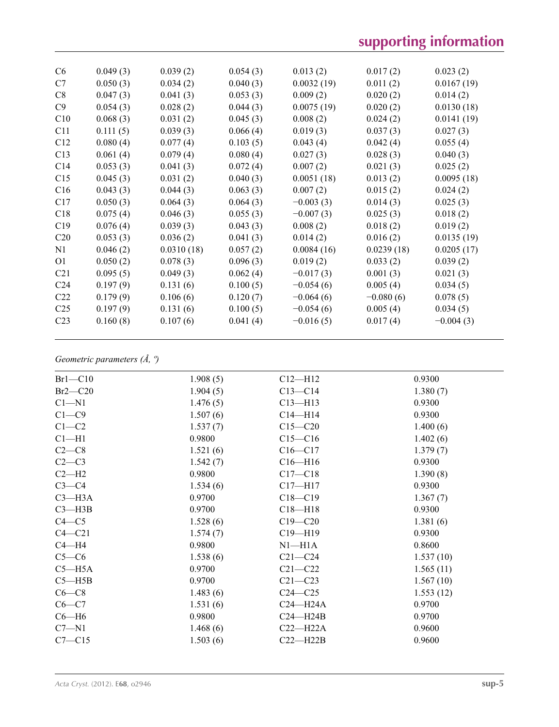| C6              | 0.049(3) | 0.039(2)   | 0.054(3) | 0.013(2)    | 0.017(2)    | 0.023(2)    |
|-----------------|----------|------------|----------|-------------|-------------|-------------|
| C7              | 0.050(3) | 0.034(2)   | 0.040(3) | 0.0032(19)  | 0.011(2)    | 0.0167(19)  |
| C8              | 0.047(3) | 0.041(3)   | 0.053(3) | 0.009(2)    | 0.020(2)    | 0.014(2)    |
| C9              | 0.054(3) | 0.028(2)   | 0.044(3) | 0.0075(19)  | 0.020(2)    | 0.0130(18)  |
| C10             | 0.068(3) | 0.031(2)   | 0.045(3) | 0.008(2)    | 0.024(2)    | 0.0141(19)  |
| C <sub>11</sub> | 0.111(5) | 0.039(3)   | 0.066(4) | 0.019(3)    | 0.037(3)    | 0.027(3)    |
| C12             | 0.080(4) | 0.077(4)   | 0.103(5) | 0.043(4)    | 0.042(4)    | 0.055(4)    |
| C13             | 0.061(4) | 0.079(4)   | 0.080(4) | 0.027(3)    | 0.028(3)    | 0.040(3)    |
| C14             | 0.053(3) | 0.041(3)   | 0.072(4) | 0.007(2)    | 0.021(3)    | 0.025(2)    |
| C15             | 0.045(3) | 0.031(2)   | 0.040(3) | 0.0051(18)  | 0.013(2)    | 0.0095(18)  |
| C16             | 0.043(3) | 0.044(3)   | 0.063(3) | 0.007(2)    | 0.015(2)    | 0.024(2)    |
| C17             | 0.050(3) | 0.064(3)   | 0.064(3) | $-0.003(3)$ | 0.014(3)    | 0.025(3)    |
| C18             | 0.075(4) | 0.046(3)   | 0.055(3) | $-0.007(3)$ | 0.025(3)    | 0.018(2)    |
| C19             | 0.076(4) | 0.039(3)   | 0.043(3) | 0.008(2)    | 0.018(2)    | 0.019(2)    |
| C <sub>20</sub> | 0.053(3) | 0.036(2)   | 0.041(3) | 0.014(2)    | 0.016(2)    | 0.0135(19)  |
| N1              | 0.046(2) | 0.0310(18) | 0.057(2) | 0.0084(16)  | 0.0239(18)  | 0.0205(17)  |
| O <sub>1</sub>  | 0.050(2) | 0.078(3)   | 0.096(3) | 0.019(2)    | 0.033(2)    | 0.039(2)    |
| C <sub>21</sub> | 0.095(5) | 0.049(3)   | 0.062(4) | $-0.017(3)$ | 0.001(3)    | 0.021(3)    |
| C <sub>24</sub> | 0.197(9) | 0.131(6)   | 0.100(5) | $-0.054(6)$ | 0.005(4)    | 0.034(5)    |
| C <sub>22</sub> | 0.179(9) | 0.106(6)   | 0.120(7) | $-0.064(6)$ | $-0.080(6)$ | 0.078(5)    |
| C <sub>25</sub> | 0.197(9) | 0.131(6)   | 0.100(5) | $-0.054(6)$ | 0.005(4)    | 0.034(5)    |
| C <sub>23</sub> | 0.160(8) | 0.107(6)   | 0.041(4) | $-0.016(5)$ | 0.017(4)    | $-0.004(3)$ |
|                 |          |            |          |             |             |             |

# *Geometric parameters (Å, º)*

| $Br1-C10$  | 1.908(5) | $C12 - H12$  | 0.9300    |
|------------|----------|--------------|-----------|
| $Br2-C20$  | 1.904(5) | $C13 - C14$  | 1.380(7)  |
| $Cl - N1$  | 1.476(5) | $C13 - H13$  | 0.9300    |
| $C1 - C9$  | 1.507(6) | $C14 - H14$  | 0.9300    |
| $C1-C2$    | 1.537(7) | $C15 - C20$  | 1.400(6)  |
| $Cl-H1$    | 0.9800   | $C15 - C16$  | 1.402(6)  |
| $C2-C8$    | 1.521(6) | $C16 - C17$  | 1.379(7)  |
| $C2-C3$    | 1.542(7) | $C16 - H16$  | 0.9300    |
| $C2-H2$    | 0.9800   | $C17 - C18$  | 1.390(8)  |
| $C3-C4$    | 1.534(6) | $C17 - H17$  | 0.9300    |
| $C3 - H3A$ | 0.9700   | $C18 - C19$  | 1.367(7)  |
| $C3 - H3B$ | 0.9700   | $C18 - H18$  | 0.9300    |
| $C4 - C5$  | 1.528(6) | $C19 - C20$  | 1.381(6)  |
| $C4 - C21$ | 1.574(7) | $C19 - H19$  | 0.9300    |
| $C4 - H4$  | 0.9800   | $N1 - H1A$   | 0.8600    |
| $C5-C6$    | 1.538(6) | $C21 - C24$  | 1.537(10) |
| $C5 - H5A$ | 0.9700   | $C21 - C22$  | 1.565(11) |
| $C5 - H5B$ | 0.9700   | $C21 - C23$  | 1.567(10) |
| $C6-C8$    | 1.483(6) | $C24 - C25$  | 1.553(12) |
| $C6 - C7$  | 1.531(6) | $C24 - H24A$ | 0.9700    |
| $C6 - H6$  | 0.9800   | $C24 - H24B$ | 0.9700    |
| $C7 - N1$  | 1.468(6) | $C22-H22A$   | 0.9600    |
| $C7 - C15$ | 1.503(6) | $C22-H22B$   | 0.9600    |
|            |          |              |           |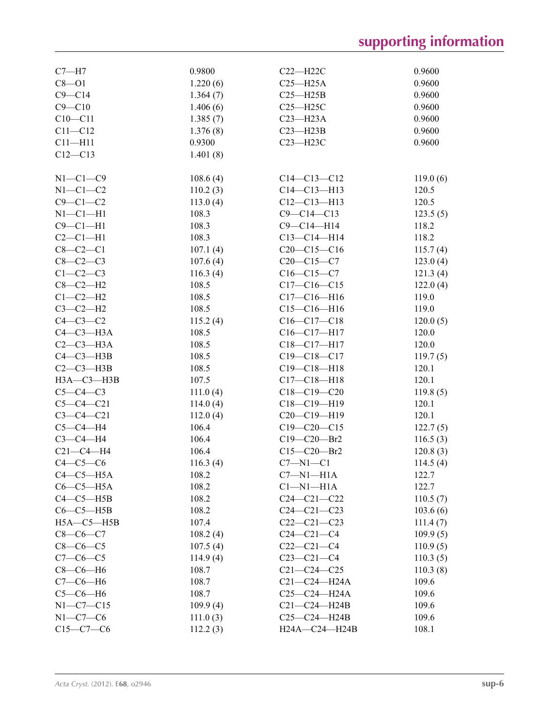| $C7 - H7$        | 0.9800   | $C22 - H22C$      | 0.9600   |
|------------------|----------|-------------------|----------|
| $C8 - O1$        | 1.220(6) | $C25 - H25A$      | 0.9600   |
| $C9 - C14$       | 1.364(7) | $C25 - H25B$      | 0.9600   |
| $C9 - C10$       | 1.406(6) | $C25 - H25C$      | 0.9600   |
| $C10 - C11$      | 1.385(7) | $C23 - H23A$      | 0.9600   |
| $C11 - C12$      | 1.376(8) | $C23 - H23B$      | 0.9600   |
| $C11 - H11$      | 0.9300   | C23-H23C          | 0.9600   |
| $C12 - C13$      | 1.401(8) |                   |          |
|                  |          |                   |          |
| $N1-C1-C9$       | 108.6(4) | $C14 - C13 - C12$ | 119.0(6) |
| $N1-C1-C2$       | 110.2(3) | $C14 - C13 - H13$ | 120.5    |
| $C9 - C1 - C2$   | 113.0(4) | $C12-C13-H13$     | 120.5    |
| $N1-C1-H1$       | 108.3    | $C9 - C14 - C13$  | 123.5(5) |
| $C9 - C1 - H1$   | 108.3    | $C9 - C14 - H14$  | 118.2    |
| $C2-C1-H1$       | 108.3    | $C13 - C14 - H14$ | 118.2    |
| $C8-C2-C1$       | 107.1(4) | $C20-C15-C16$     | 115.7(4) |
| $C8-C2-C3$       | 107.6(4) | $C20-C15-C7$      | 123.0(4) |
| $C1-C2-C3$       | 116.3(4) | $C16 - C15 - C7$  | 121.3(4) |
| $C8-C2-H2$       | 108.5    | $C17-C16-C15$     | 122.0(4) |
| $C1-C2-H2$       | 108.5    | $C17 - C16 - H16$ | 119.0    |
| $C3-C2-H2$       | 108.5    | $C15-C16-H16$     | 119.0    |
| $C4-C3-C2$       | 115.2(4) | $C16-C17-C18$     | 120.0(5) |
| $C4-C3-H3A$      | 108.5    | $C16-C17-H17$     | 120.0    |
| $C2-C3-H3A$      | 108.5    | C18-C17-H17       | 120.0    |
| $C4 - C3 - H3B$  | 108.5    | $C19 - C18 - C17$ | 119.7(5) |
| $C2-C3-H3B$      | 108.5    | $C19 - C18 - H18$ | 120.1    |
| $H3A - C3 - H3B$ | 107.5    | $C17 - C18 - H18$ | 120.1    |
| $C5-C4-C3$       | 111.0(4) | $C18-C19-C20$     | 119.8(5) |
| $C5 - C4 - C21$  | 114.0(4) | $C18-C19-H19$     | 120.1    |
| $C3 - C4 - C21$  | 112.0(4) | C20-C19-H19       | 120.1    |
| $C5-C4-H4$       | 106.4    | $C19 - C20 - C15$ | 122.7(5) |
| $C3-C4-H4$       | 106.4    | C19-C20-Br2       | 116.5(3) |
| $C21-C4-H4$      | 106.4    | $C15 - C20 - Br2$ | 120.8(3) |
| $C4-C5-C6$       | 116.3(4) | $C7 - N1 - C1$    | 114.5(4) |
| $C4-C5-H5A$      | 108.2    | $C7 - N1 - H1A$   | 122.7    |
| $C6-C5-H5A$      | 108.2    | $Cl-M1-H1A$       | 122.7    |
| $C4-C5-H5B$      | 108.2    | $C24 - C21 - C22$ | 110.5(7) |
| $C6-C5-H5B$      | 108.2    | $C24 - C21 - C23$ | 103.6(6) |
| $H5A - C5 - H5B$ | 107.4    | $C22-C21-C23$     | 111.4(7) |
| $C8-C6-C7$       | 108.2(4) | $C24 - C21 - C4$  | 109.9(5) |
| $C8-C6-C5$       | 107.5(4) | $C22-C21-C4$      | 110.9(5) |
| $C7 - C6 - C5$   | 114.9(4) | $C23-C21-C4$      | 110.3(5) |
| $C8-C6-H6$       | 108.7    | $C21 - C24 - C25$ | 110.3(8) |
| $C7-C6-H6$       | 108.7    | C21-C24-H24A      | 109.6    |
| $C5-C6-H6$       | 108.7    | C25-C24-H24A      | 109.6    |
| $N1 - C7 - C15$  | 109.9(4) | $C21-C24-H24B$    | 109.6    |
| $N1-C7-C6$       | 111.0(3) | $C25-C24-H24B$    | 109.6    |
| $C15-C7-C6$      | 112.2(3) | H24A-C24-H24B     | 108.1    |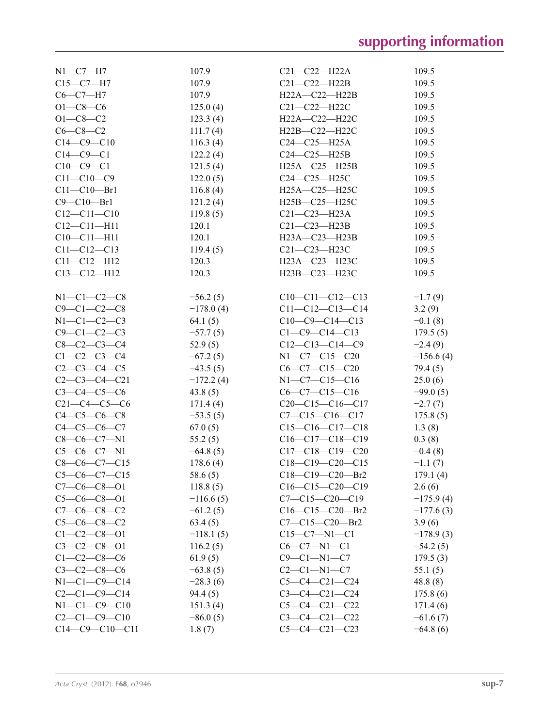| $N1 - C7 - H7$       | 107.9       | $C21 - C22 - H22A$     | 109.5       |
|----------------------|-------------|------------------------|-------------|
| $C15 - C7 - H7$      | 107.9       | $C21-C22-H22B$         | 109.5       |
| $C6 - C7 - H7$       | 107.9       | H22A-C22-H22B          | 109.5       |
| $O1 - C8 - C6$       | 125.0(4)    | $C21 - C22 - H22C$     | 109.5       |
| $O1 - C8 - C2$       | 123.3(4)    | H22A-C22-H22C          | 109.5       |
| $C6 - C8 - C2$       | 111.7(4)    | H22B-C22-H22C          | 109.5       |
| $C14 - C9 - C10$     | 116.3(4)    | $C24-C25-H25A$         | 109.5       |
| $C14 - C9 - C1$      | 122.2(4)    | $C24-C25-H25B$         | 109.5       |
| $C10-C9-C1$          | 121.5(4)    | $H25A - C25 - H25B$    | 109.5       |
| $C11 - C10 - C9$     | 122.0(5)    | $C24-C25-H25C$         | 109.5       |
| $C11 - C10 - Br1$    | 116.8(4)    | H25A-C25-H25C          | 109.5       |
| $C9 - C10 - Br1$     | 121.2(4)    | H25B-C25-H25C          | 109.5       |
| $C12 - C11 - C10$    | 119.8(5)    | $C21 - C23 - H23A$     | 109.5       |
| $C12 - C11 - H11$    | 120.1       | $C21-C23-H23B$         | 109.5       |
| $C10-C11-H11$        | 120.1       | $H23A - C23 - H23B$    | 109.5       |
| $C11 - C12 - C13$    |             |                        | 109.5       |
|                      | 119.4(5)    | $C21 - C23 - H23C$     |             |
| $C11 - C12 - H12$    | 120.3       | H23A-C23-H23C          | 109.5       |
| $C13 - C12 - H12$    | 120.3       | H23B-C23-H23C          | 109.5       |
| $N1-C1-C2-C8$        | $-56.2(5)$  | $C10-C11-C12-C13$      | $-1.7(9)$   |
| $C9 - C1 - C2 - C8$  | $-178.0(4)$ | $C11-C12-C13-C14$      | 3.2(9)      |
| $N1 - C1 - C2 - C3$  |             |                        |             |
|                      | 64.1(5)     | $C10-C9-C14-C13$       | $-0.1(8)$   |
| $C9 - C1 - C2 - C3$  | $-57.7(5)$  | $C1 - C9 - C14 - C13$  | 179.5(5)    |
| $C8-C2-C3-C4$        | 52.9(5)     | $C12-C13-C14-C9$       | $-2.4(9)$   |
| $C1 - C2 - C3 - C4$  | $-67.2(5)$  | N1-C7-C15-C20          | $-156.6(4)$ |
| $C2-C3-C4-C5$        | $-43.5(5)$  | $C6-C7-C15-C20$        | 79.4 (5)    |
| $C2-C3-C4-C21$       | $-172.2(4)$ | $N1-C7-C15-C16$        | 25.0(6)     |
| $C3 - C4 - C5 - C6$  | 43.8(5)     | $C6-C7-C15-C16$        | $-99.0(5)$  |
| $C21-C4-C5-C6$       | 171.4(4)    | $C20-C15-C16-C17$      | $-2.7(7)$   |
| $C4 - C5 - C6 - C8$  | $-53.5(5)$  | $C7 - C15 - C16 - C17$ | 175.8(5)    |
| $C4 - C5 - C6 - C7$  | 67.0(5)     | $C15-C16-C17-C18$      | 1.3(8)      |
| $C8-C6-C7-N1$        | 55.2(5)     | $C16-C17-C18-C19$      | 0.3(8)      |
| $C5-C6-C7-N1$        | $-64.8(5)$  | $C17-C18-C19-C20$      | $-0.4(8)$   |
| $C8-C6-C7-C15$       | 178.6(4)    | $C18-C19-C20-C15$      | $-1.1(7)$   |
| $C5-C6-C7-C15$       | 58.6(5)     | $C18-C19-C20-Br2$      | 179.1(4)    |
| $C7-C6-C8-O1$        | 118.8(5)    | $C16-C15-C20-C19$      | 2.6(6)      |
| $C5-C6-C8-O1$        | $-116.6(5)$ | $C7-C15-C20-C19$       | $-175.9(4)$ |
| $C7-C6-C8-C2$        | $-61.2(5)$  | $C16-C15-C20-Br2$      | $-177.6(3)$ |
| $C5-C6-C8-C2$        | 63.4(5)     | $C7-C15-C20-Br2$       | 3.9(6)      |
| $C1 - C2 - C8 - 01$  | $-118.1(5)$ | $C15-C7-N1-C1$         | $-178.9(3)$ |
| $C3-C2-C8-01$        | 116.2(5)    | $C6-C7-N1-C1$          | $-54.2(5)$  |
| $C1 - C2 - C8 - C6$  | 61.9(5)     | $C9-C1-N1-C7$          | 179.5(3)    |
| $C3 - C2 - C8 - C6$  | $-63.8(5)$  | $C2-C1-N1-C7$          | 55.1(5)     |
| $N1 - C1 - C9 - C14$ | $-28.3(6)$  | $C5-C4-C21-C24$        | 48.8(8)     |
| $C2-C1-C9-C14$       | 94.4(5)     | $C3-C4-C21-C24$        | 175.8(6)    |
| $N1 - C1 - C9 - C10$ | 151.3(4)    | $C5-C4-C21-C22$        | 171.4(6)    |
| $C2-C1-C9-C10$       | $-86.0(5)$  | $C3-C4-C21-C22$        | $-61.6(7)$  |
| $C14-C9-C10-C11$     | 1.8(7)      | $C5-C4-C21-C23$        | $-64.8(6)$  |